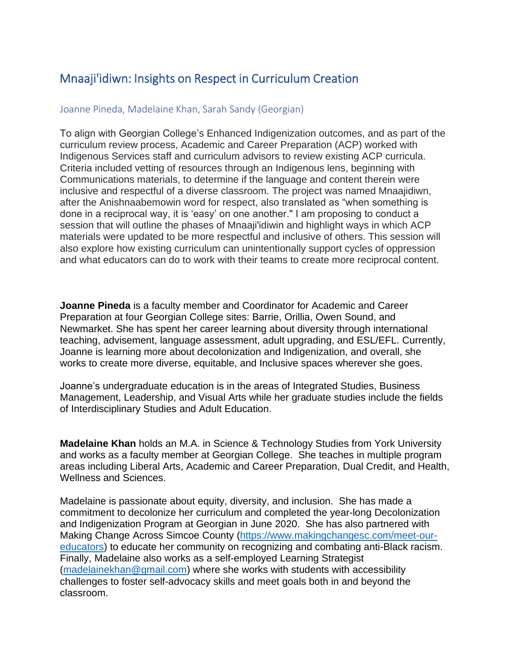## Mnaaji'idiwn: Insights on Respect in Curriculum Creation

## Joanne Pineda, Madelaine Khan, Sarah Sandy (Georgian)

To align with Georgian College's Enhanced Indigenization outcomes, and as part of the curriculum review process, Academic and Career Preparation (ACP) worked with Indigenous Services staff and curriculum advisors to review existing ACP curricula. Criteria included vetting of resources through an Indigenous lens, beginning with Communications materials, to determine if the language and content therein were inclusive and respectful of a diverse classroom. The project was named Mnaajidiwn, after the Anishnaabemowin word for respect, also translated as "when something is done in a reciprocal way, it is 'easy' on one another." I am proposing to conduct a session that will outline the phases of Mnaaji'idiwin and highlight ways in which ACP materials were updated to be more respectful and inclusive of others. This session will also explore how existing curriculum can unintentionally support cycles of oppression and what educators can do to work with their teams to create more reciprocal content.

**Joanne Pineda** is a faculty member and Coordinator for Academic and Career Preparation at four Georgian College sites: Barrie, Orillia, Owen Sound, and Newmarket. She has spent her career learning about diversity through international teaching, advisement, language assessment, adult upgrading, and ESL/EFL. Currently, Joanne is learning more about decolonization and Indigenization, and overall, she works to create more diverse, equitable, and Inclusive spaces wherever she goes.

Joanne's undergraduate education is in the areas of Integrated Studies, Business Management, Leadership, and Visual Arts while her graduate studies include the fields of Interdisciplinary Studies and Adult Education.

**Madelaine Khan** holds an M.A. in Science & Technology Studies from York University and works as a faculty member at Georgian College. She teaches in multiple program areas including Liberal Arts, Academic and Career Preparation, Dual Credit, and Health, Wellness and Sciences.

Madelaine is passionate about equity, diversity, and inclusion. She has made a commitment to decolonize her curriculum and completed the year-long Decolonization and Indigenization Program at Georgian in June 2020. She has also partnered with Making Change Across Simcoe County [\(https://www.makingchangesc.com/meet-our](https://www.makingchangesc.com/meet-our-educators)[educators\)](https://www.makingchangesc.com/meet-our-educators) to educate her community on recognizing and combating anti-Black racism. Finally, Madelaine also works as a self-employed Learning Strategist [\(madelainekhan@gmail.com\)](mailto:madelainekhan@gmail.com) where she works with students with accessibility challenges to foster self-advocacy skills and meet goals both in and beyond the classroom.